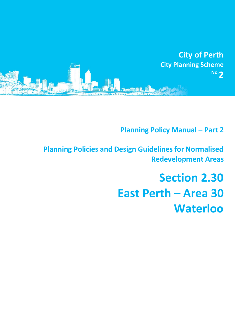

**Planning Policy Manual - Part 2** 

**Planning Policies and Design Guidelines for Normalised Redevelopment Areas**

# **Section 2.30 East Perth – Area 30 Waterloo**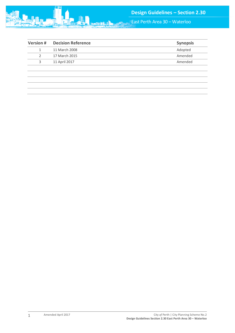

East Perth Area 30 – Waterloo

| <b>Version#</b> | <b>Decision Reference</b> | <b>Synopsis</b> |
|-----------------|---------------------------|-----------------|
| 1               | 11 March 2008             | Adopted         |
|                 | 17 March 2015             | Amended         |
| 3               | 11 April 2017             | Amended         |
|                 |                           |                 |
|                 |                           |                 |
|                 |                           |                 |
|                 |                           |                 |
|                 |                           |                 |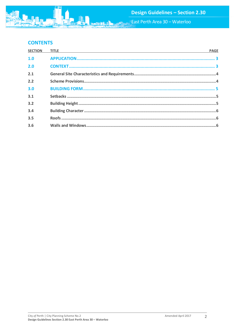East Perth Area 30 - Waterloo

# **CONTENTS**

| <b>SECTION</b> | <u> 1989 - Johann Stoff, deutscher Stoff, der Stoff, der Stoff, der Stoff, der Stoff, der Stoff, der Stoff, der S</u><br><b>TITLE</b> | <b>PAGE</b> |
|----------------|---------------------------------------------------------------------------------------------------------------------------------------|-------------|
| 1.0            |                                                                                                                                       |             |
| 2.0            |                                                                                                                                       |             |
| 2.1            |                                                                                                                                       |             |
| 2.2            |                                                                                                                                       |             |
| 3.0            |                                                                                                                                       |             |
| 3.1            |                                                                                                                                       |             |
| 3.2            |                                                                                                                                       |             |
| 3.4            |                                                                                                                                       |             |
| 3.5            |                                                                                                                                       |             |
| 3.6            |                                                                                                                                       |             |

**MA**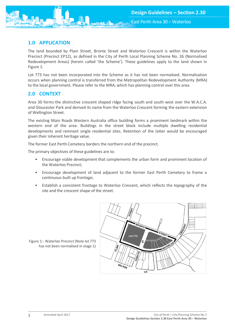<span id="page-3-0"></span>

The land bounded by Plain Street, Bronte Street and Waterloo Crescent is within the Waterloo Precinct (Precinct EP12), as defined in the City of Perth Local Planning Scheme No. 26 (Normalised Redevelopment Areas) (herein called 'the Scheme'). These guidelines apply to the land shown in Figure 1.

Lot 773 has not been incorporated into the Scheme as it has not been normalised. Normalisation occurs when planning control is transferred from the Metropolitan Redevelopment Authority (MRA) to the local government. Please refer to the MRA, which has planning control over this area.

# <span id="page-3-1"></span>**2.0 CONTEXT**

Area 30 forms the distinctive crescent shaped ridge facing south and south west over the W.A.C.A. and Gloucester Park and derived its name from the Waterloo Crescent forming the eastern extension of Wellington Street.

The existing Main Roads Western Australia office building forms a prominent landmark within the western end of the area. Buildings in the street block include multiple dwelling residential developments and remnant single residential sites. Retention of the latter would be encouraged given their inherent heritage value.

The former East Perth Cemetery borders the northern end of the precinct.

The primary objectives of these guidelines are to:

- Encourage viable development that complements the urban form and prominent location of the Waterloo Precinct;
- Encourage development of land adjacent to the former East Perth Cemetery to frame a continuous built up frontage;
- Establish a consistent frontage to Waterloo Crescent, which reflects the topography of the site and the crescent shape of the street.



Figure 1:- Waterloo Precinct (Note lot 773 has not been normalised in stage 1)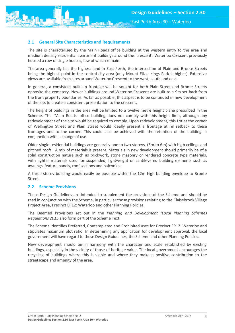East Perth Area 30 – Waterloo

<span id="page-4-0"></span>

The site is characterised by the Main Roads office building at the western entry to the area and medium density residential apartment buildings around the `crescent'. Waterloo Crescent previously housed a row of single houses, few of which remain.

The area generally has the highest land in East Perth, the intersection of Plain and Bronte Streets being the highest point in the central city area (only Mount Eliza, Kings Park is higher). Extensive views are available from sites around Waterloo Crescent to the west, south and east.

In general, a consistent built up frontage will be sought for both Plain Street and Bronte Streets opposite the cemetery. Newer buildings around Waterloo Crescent are built to a 9m set back from the front property boundaries. As far as possible, this aspect is to be continued in new development of the lots to create a consistent presentation to the crescent.

The height of buildings in the area will be limited to a twelve metre height plane prescribed in the Scheme. The `Main Roads' office building does not comply with this height limit, although any redevelopment of the site would be required to comply. Upon redevelopment, this Lot at the corner of Wellington Street and Plain Street would ideally present a frontage at nil setback to these frontages and to the corner. This could also be achieved with the retention of the building in conjunction with a change of use.

Older single residential buildings are generally one to two storeys, (3m to 6m) with high ceilings and pitched roofs. A mix of materials is present. Materials in new development should primarily be of a solid construction nature such as brickwork, stone masonry or rendered concrete type materials, with lighter materials used for suspended, lightweight or cantilevered building elements such as awnings, feature panels, roof sections and balconies.

A three storey building would easily be possible within the 12m high building envelope to Bronte Street.

#### <span id="page-4-1"></span>**2.2 Scheme Provisions**

These Design Guidelines are intended to supplement the provisions of the Scheme and should be read in conjunction with the Scheme, in particular those provisions relating to the Claisebrook Village Project Area, Precinct EP12: Waterloo and other Planning Policies.

The Deemed Provisions set out in the *Planning and Development (Local Planning Schemes Regulations 2015* also form part of the Scheme Text.

The Scheme identifies Preferred, Contemplated and Prohibited uses for Precinct EP12: Waterloo and stipulates maximum plot ratio. In determining any application for development approval, the local government will have regard to these Design Guidelines, the Scheme and other Planning Policies.

New development should be in harmony with the character and scale established by existing buildings, especially in the vicinity of those of heritage value. The local government encourages the recycling of buildings where this is viable and where they make a positive contribution to the streetscape and amenity of the area.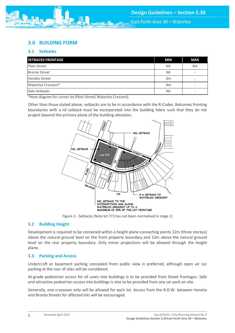# <span id="page-5-0"></span>**3.0 BUILDING FORM**

### <span id="page-5-1"></span>**3.1 Setbacks**

| <b>SETBACKS FRONTAGE</b> | <b>MIN</b>     | <b>MAX</b> |
|--------------------------|----------------|------------|
| Plain Street             | Nil            | 4m         |
| <b>Bronte Street</b>     | Nil            | ۰          |
| <b>Horatio Street</b>    | 3m             | ۰          |
| Waterloo Crescent*       | 9 <sub>m</sub> | -          |
| Side Setbacks            | Nil            | ۰          |

\*Note diagram for corner lot (Plain Street/ Waterloo Crescent).

Other than those stated above, setbacks are to be in accordance with the R-Codes. Balconies fronting boundaries with a nil setback must be incorporated into the building fabric such that they do not project beyond the primary plane of the building elevation.



Figure 2:- Setbacks (Note lot 773 has not been normalised in stage 1)

## <span id="page-5-2"></span>**3.2 Building Height**

Development is required to be contained within a height plane connecting points 12m (three storeys) above the natural ground level on the front property boundary and 12m above the natural ground level on the rear property boundary. Only minor projections will be allowed through the height plane.

## **3.3 Parking and Access**

Undercroft or basement parking concealed from public view is preferred, although open air car parking at the rear of sites will be considered.

At-grade pedestrian access for all users into buildings is to be provided from Street frontages. Safe and attractive pedestrian access into buildings is also to be provided from any car park on site.

Generally, one crossover only will be allowed for each lot. Access from the R.O.W. between Horatio and Bronte Streets for affected lots will be encouraged.